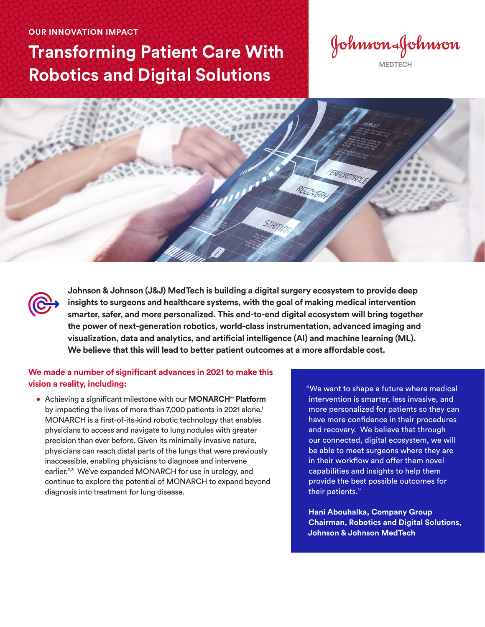#### **OUR INNOVATION IMPACT**

# **Transforming Patient Care With Robotics and Digital Solutions**

Johnson&Johnson

**MEDTECH**





**Johnson & Johnson (J&J) MedTech is building a digital surgery ecosystem to provide deep insights to surgeons and healthcare systems, with the goal of making medical intervention smarter, safer, and more personalized. This end-to-end digital ecosystem will bring together the power of next-generation robotics, world-class instrumentation, advanced imaging and visualization, data and analytics, and artificial intelligence (AI) and machine learning (ML). We believe that this will lead to better patient outcomes at a more affordable cost.** 

#### **We made a number of significant advances in 2021 to make this vision a reality, including:**

• Achieving a significant milestone with our **MONARCH**® **Platform** by impacting the lives of more than 7,000 patients in 2021 alone.<sup>1</sup> MONARCH is a first-of-its-kind robotic technology that enables physicians to access and navigate to lung nodules with greater precision than ever before. Given its minimally invasive nature, physicians can reach distal parts of the lungs that were previously inaccessible, enabling physicians to diagnose and intervene earlier.<sup>2,3</sup> We've expanded MONARCH for use in urology, and continue to explore the potential of MONARCH to expand beyond diagnosis into treatment for lung disease.

"We want to shape a future where medical intervention is smarter, less invasive, and more personalized for patients so they can have more confidence in their procedures and recovery. We believe that through our connected, digital ecosystem, we will be able to meet surgeons where they are in their workflow and offer them novel capabilities and insights to help them provide the best possible outcomes for their patients."

**Hani Abouhalka, Company Group Chairman, Robotics and Digital Solutions, Johnson & Johnson MedTech**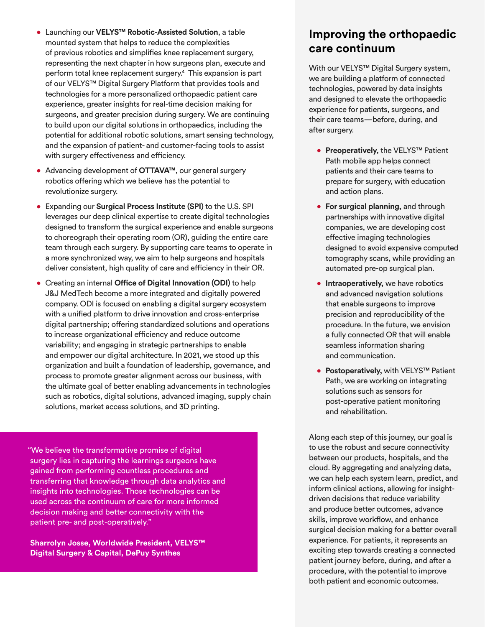- Launching our **VELYS™ Robotic-Assisted Solution**, a table mounted system that helps to reduce the complexities of previous robotics and simplifies knee replacement surgery, representing the next chapter in how surgeons plan, execute and perform total knee replacement surgery.<sup>4</sup> This expansion is part of our VELYS™ Digital Surgery Platform that provides tools and technologies for a more personalized orthopaedic patient care experience, greater insights for real-time decision making for surgeons, and greater precision during surgery. We are continuing to build upon our digital solutions in orthopaedics, including the potential for additional robotic solutions, smart sensing technology, and the expansion of patient- and customer-facing tools to assist with surgery effectiveness and efficiency.
- Advancing development of **OTTAVA™**, our general surgery robotics offering which we believe has the potential to revolutionize surgery.
- Expanding our **Surgical Process Institute (SPI)** to the U.S. SPI leverages our deep clinical expertise to create digital technologies designed to transform the surgical experience and enable surgeons to choreograph their operating room (OR), guiding the entire care team through each surgery. By supporting care teams to operate in a more synchronized way, we aim to help surgeons and hospitals deliver consistent, high quality of care and efficiency in their OR.
- Creating an internal **Office of Digital Innovation (ODI)** to help J&J MedTech become a more integrated and digitally powered company. ODI is focused on enabling a digital surgery ecosystem with a unified platform to drive innovation and cross-enterprise digital partnership; offering standardized solutions and operations to increase organizational efficiency and reduce outcome variability; and engaging in strategic partnerships to enable and empower our digital architecture. In 2021, we stood up this organization and built a foundation of leadership, governance, and process to promote greater alignment across our business, with the ultimate goal of better enabling advancements in technologies such as robotics, digital solutions, advanced imaging, supply chain solutions, market access solutions, and 3D printing.

"We believe the transformative promise of digital surgery lies in capturing the learnings surgeons have gained from performing countless procedures and transferring that knowledge through data analytics and insights into technologies. Those technologies can be used across the continuum of care for more informed decision making and better connectivity with the patient pre- and post-operatively."

**Sharrolyn Josse, Worldwide President, VELYS™ Digital Surgery & Capital, DePuy Synthes**

## **Improving the orthopaedic care continuum**

With our VELYS<sup>™</sup> Digital Surgery system, we are building a platform of connected technologies, powered by data insights and designed to elevate the orthopaedic experience for patients, surgeons, and their care teams—before, during, and after surgery.

- **• Preoperatively,** the VELYS™ Patient Path mobile app helps connect patients and their care teams to prepare for surgery, with education and action plans.
- **• For surgical planning,** and through partnerships with innovative digital companies, we are developing cost effective imaging technologies designed to avoid expensive computed tomography scans, while providing an automated pre-op surgical plan.
- **• Intraoperatively,** we have robotics and advanced navigation solutions that enable surgeons to improve precision and reproducibility of the procedure. In the future, we envision a fully connected OR that will enable seamless information sharing and communication.
- **• Postoperatively,** with VELYS™ Patient Path, we are working on integrating solutions such as sensors for post-operative patient monitoring and rehabilitation.

Along each step of this journey, our goal is to use the robust and secure connectivity between our products, hospitals, and the cloud. By aggregating and analyzing data, we can help each system learn, predict, and inform clinical actions, allowing for insightdriven decisions that reduce variability and produce better outcomes, advance skills, improve workflow, and enhance surgical decision making for a better overall experience. For patients, it represents an exciting step towards creating a connected patient journey before, during, and after a procedure, with the potential to improve both patient and economic outcomes.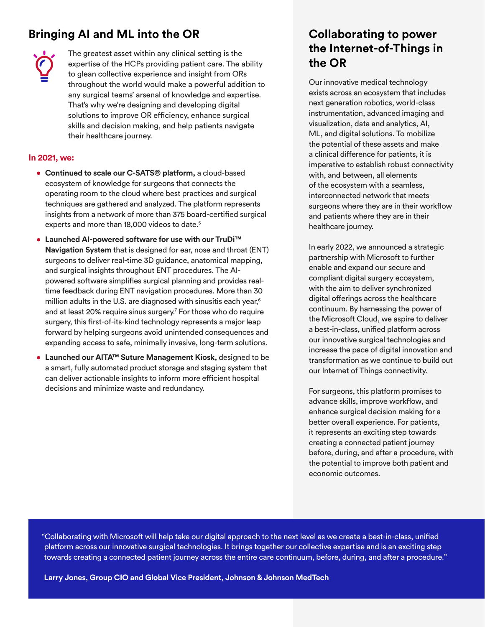# **Bringing AI and ML into the OR**



The greatest asset within any clinical setting is the expertise of the HCPs providing patient care. The ability to glean collective experience and insight from ORs throughout the world would make a powerful addition to any surgical teams' arsenal of knowledge and expertise. That's why we're designing and developing digital solutions to improve OR efficiency, enhance surgical skills and decision making, and help patients navigate their healthcare journey.

#### **In 2021, we:**

- **Continued to scale our C-SATS® platform,** a cloud-based ecosystem of knowledge for surgeons that connects the operating room to the cloud where best practices and surgical techniques are gathered and analyzed. The platform represents insights from a network of more than 375 board-certified surgical experts and more than 18,000 videos to date.<sup>5</sup>
- **Launched AI-powered software for use with our TruDi™ Navigation System** that is designed for ear, nose and throat (ENT) surgeons to deliver real-time 3D guidance, anatomical mapping, and surgical insights throughout ENT procedures. The AIpowered software simplifies surgical planning and provides realtime feedback during ENT navigation procedures. More than 30 million adults in the U.S. are diagnosed with sinusitis each year,<sup>6</sup> and at least 20% require sinus surgery.<sup>7</sup> For those who do require surgery, this first-of-its-kind technology represents a major leap forward by helping surgeons avoid unintended consequences and expanding access to safe, minimally invasive, long-term solutions.
- **Launched our AITA™ Suture Management Kiosk,** designed to be a smart, fully automated product storage and staging system that can deliver actionable insights to inform more efficient hospital decisions and minimize waste and redundancy.

## **Collaborating to power the Internet-of-Things in the OR**

Our innovative medical technology exists across an ecosystem that includes next generation robotics, world-class instrumentation, advanced imaging and visualization, data and analytics, AI, ML, and digital solutions. To mobilize the potential of these assets and make a clinical difference for patients, it is imperative to establish robust connectivity with, and between, all elements of the ecosystem with a seamless, interconnected network that meets surgeons where they are in their workflow and patients where they are in their healthcare journey.

In early 2022, we announced a strategic partnership with Microsoft to further enable and expand our secure and compliant digital surgery ecosystem, with the aim to deliver synchronized digital offerings across the healthcare continuum. By harnessing the power of the Microsoft Cloud, we aspire to deliver a best-in-class, unified platform across our innovative surgical technologies and increase the pace of digital innovation and transformation as we continue to build out our Internet of Things connectivity.

For surgeons, this platform promises to advance skills, improve workflow, and enhance surgical decision making for a better overall experience. For patients, it represents an exciting step towards creating a connected patient journey before, during, and after a procedure, with the potential to improve both patient and economic outcomes.

"Collaborating with Microsoft will help take our digital approach to the next level as we create a best-in-class, unified platform across our innovative surgical technologies. It brings together our collective expertise and is an exciting step towards creating a connected patient journey across the entire care continuum, before, during, and after a procedure."

**Larry Jones, Group CIO and Global Vice President, Johnson & Johnson MedTech**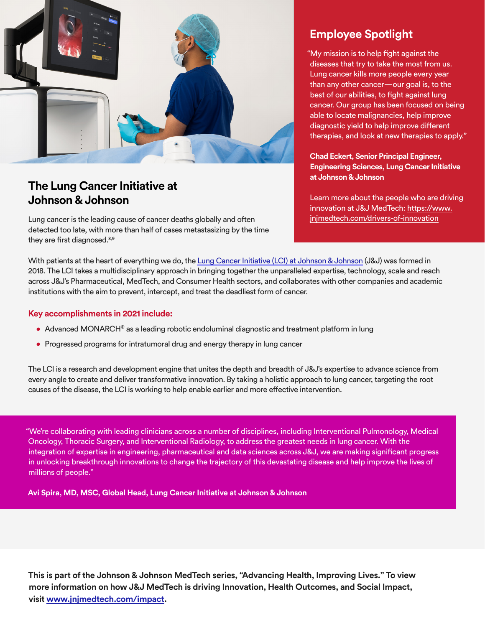

## **The Lung Cancer Initiative at Johnson & Johnson**

Lung cancer is the leading cause of cancer deaths globally and often detected too late, with more than half of cases metastasizing by the time they are first diagnosed.<sup>8,9</sup>

# **Employee Spotlight**

"My mission is to help fight against the diseases that try to take the most from us. Lung cancer kills more people every year than any other cancer—our goal is, to the best of our abilities, to fight against lung cancer. Our group has been focused on being able to locate malignancies, help improve diagnostic yield to help improve different therapies, and look at new therapies to apply."

**Chad Eckert, Senior Principal Engineer, Engineering Sciences, Lung Cancer Initiative at Johnson & Johnson**

Learn more about the people who are driving innovation at J&J MedTech: [https://www.](https://www.jnjmedtech.com/en-US/drivers-of-innovation) [jnjmedtech.com/drivers-of-innovation](https://www.jnjmedtech.com/en-US/drivers-of-innovation)

With patients at the heart of everything we do, the [Lung Cancer Initiative](https://www.youtube.com/watch?v=CcsItvgbY9E) (LCI) at Johnson & Johnson (J&J) was formed in 2018. The LCI takes a multidisciplinary approach in bringing together the unparalleled expertise, technology, scale and reach across J&J's Pharmaceutical, MedTech, and Consumer Health sectors, and collaborates with other companies and academic institutions with the aim to prevent, intercept, and treat the deadliest form of cancer.

#### **Key accomplishments in 2021 include:**

- Advanced MONARCH® as a leading robotic endoluminal diagnostic and treatment platform in lung
- Progressed programs for intratumoral drug and energy therapy in lung cancer

The LCI is a research and development engine that unites the depth and breadth of J&J's expertise to advance science from every angle to create and deliver transformative innovation. By taking a holistic approach to lung cancer, targeting the root causes of the disease, the LCI is working to help enable earlier and more effective intervention.

"We're collaborating with leading clinicians across a number of disciplines, including Interventional Pulmonology, Medical Oncology, Thoracic Surgery, and Interventional Radiology, to address the greatest needs in lung cancer. With the integration of expertise in engineering, pharmaceutical and data sciences across J&J, we are making significant progress in unlocking breakthrough innovations to change the trajectory of this devastating disease and help improve the lives of millions of people."

**Avi Spira, MD, MSC, Global Head, Lung Cancer Initiative at Johnson & Johnson**

**This is part of the Johnson & Johnson MedTech series, "Advancing Health, Improving Lives." To view more information on how J&J MedTech is driving Innovation, Health Outcomes, and Social Impact, visit [www.jnjmedtech.com/impact.](https://www.jnjmedtech.com/impact)**